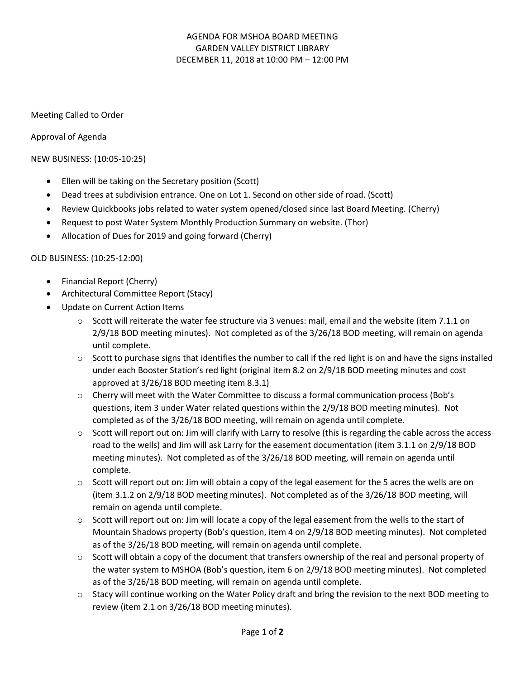# AGENDA FOR MSHOA BOARD MEETING GARDEN VALLEY DISTRICT LIBRARY DECEMBER 11, 2018 at 10:00 PM – 12:00 PM

### Meeting Called to Order

Approval of Agenda

NEW BUSINESS: (10:05-10:25)

- Ellen will be taking on the Secretary position (Scott)
- Dead trees at subdivision entrance. One on Lot 1. Second on other side of road. (Scott)
- Review Quickbooks jobs related to water system opened/closed since last Board Meeting. (Cherry)
- Request to post Water System Monthly Production Summary on website. (Thor)
- Allocation of Dues for 2019 and going forward (Cherry)

#### OLD BUSINESS: (10:25-12:00)

- Financial Report (Cherry)
- Architectural Committee Report (Stacy)
- Update on Current Action Items
	- $\circ$  Scott will reiterate the water fee structure via 3 venues: mail, email and the website (item 7.1.1 on 2/9/18 BOD meeting minutes). Not completed as of the 3/26/18 BOD meeting, will remain on agenda until complete.
	- $\circ$  Scott to purchase signs that identifies the number to call if the red light is on and have the signs installed under each Booster Station's red light (original item 8.2 on 2/9/18 BOD meeting minutes and cost approved at 3/26/18 BOD meeting item 8.3.1)
	- o Cherry will meet with the Water Committee to discuss a formal communication process (Bob's questions, item 3 under Water related questions within the 2/9/18 BOD meeting minutes). Not completed as of the 3/26/18 BOD meeting, will remain on agenda until complete.
	- $\circ$  Scott will report out on: Jim will clarify with Larry to resolve (this is regarding the cable across the access road to the wells) and Jim will ask Larry for the easement documentation (item 3.1.1 on 2/9/18 BOD meeting minutes). Not completed as of the 3/26/18 BOD meeting, will remain on agenda until complete.
	- $\circ$  Scott will report out on: Jim will obtain a copy of the legal easement for the 5 acres the wells are on (item 3.1.2 on 2/9/18 BOD meeting minutes). Not completed as of the 3/26/18 BOD meeting, will remain on agenda until complete.
	- o Scott will report out on: Jim will locate a copy of the legal easement from the wells to the start of Mountain Shadows property (Bob's question, item 4 on 2/9/18 BOD meeting minutes). Not completed as of the 3/26/18 BOD meeting, will remain on agenda until complete.
	- $\circ$  Scott will obtain a copy of the document that transfers ownership of the real and personal property of the water system to MSHOA (Bob's question, item 6 on 2/9/18 BOD meeting minutes). Not completed as of the 3/26/18 BOD meeting, will remain on agenda until complete.
	- o Stacy will continue working on the Water Policy draft and bring the revision to the next BOD meeting to review (item 2.1 on 3/26/18 BOD meeting minutes).